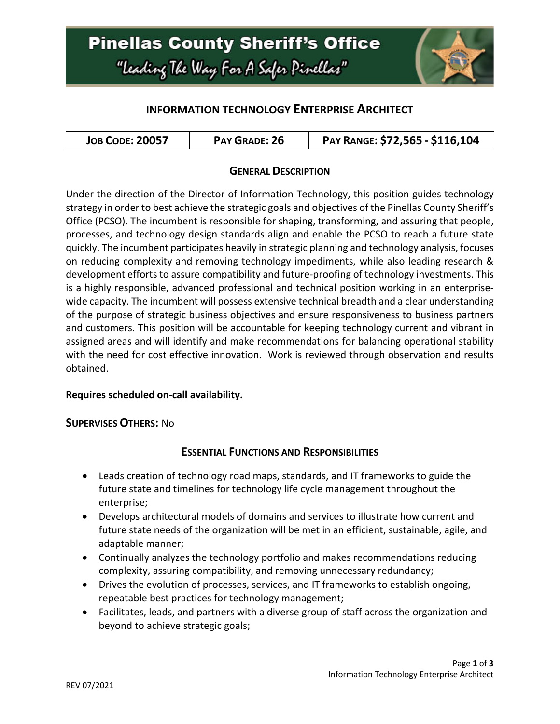

## **INFORMATION TECHNOLOGY ENTERPRISE ARCHITECT**

| <b>JOB CODE: 20057</b> | PAY GRADE: 26 | PAY RANGE: \$72,565 - \$116,104 |
|------------------------|---------------|---------------------------------|
|------------------------|---------------|---------------------------------|

### **GENERAL DESCRIPTION**

Under the direction of the Director of Information Technology, this position guides technology strategy in order to best achieve the strategic goals and objectives of the Pinellas County Sheriff's Office (PCSO). The incumbent is responsible for shaping, transforming, and assuring that people, processes, and technology design standards align and enable the PCSO to reach a future state quickly. The incumbent participates heavily in strategic planning and technology analysis, focuses on reducing complexity and removing technology impediments, while also leading research & development efforts to assure compatibility and future-proofing of technology investments. This is a highly responsible, advanced professional and technical position working in an enterprisewide capacity. The incumbent will possess extensive technical breadth and a clear understanding of the purpose of strategic business objectives and ensure responsiveness to business partners and customers. This position will be accountable for keeping technology current and vibrant in assigned areas and will identify and make recommendations for balancing operational stability with the need for cost effective innovation. Work is reviewed through observation and results obtained.

### **Requires scheduled on-call availability.**

#### **SUPERVISES OTHERS:** No

### **ESSENTIAL FUNCTIONS AND RESPONSIBILITIES**

- Leads creation of technology road maps, standards, and IT frameworks to guide the future state and timelines for technology life cycle management throughout the enterprise;
- Develops architectural models of domains and services to illustrate how current and future state needs of the organization will be met in an efficient, sustainable, agile, and adaptable manner;
- Continually analyzes the technology portfolio and makes recommendations reducing complexity, assuring compatibility, and removing unnecessary redundancy;
- Drives the evolution of processes, services, and IT frameworks to establish ongoing, repeatable best practices for technology management;
- Facilitates, leads, and partners with a diverse group of staff across the organization and beyond to achieve strategic goals;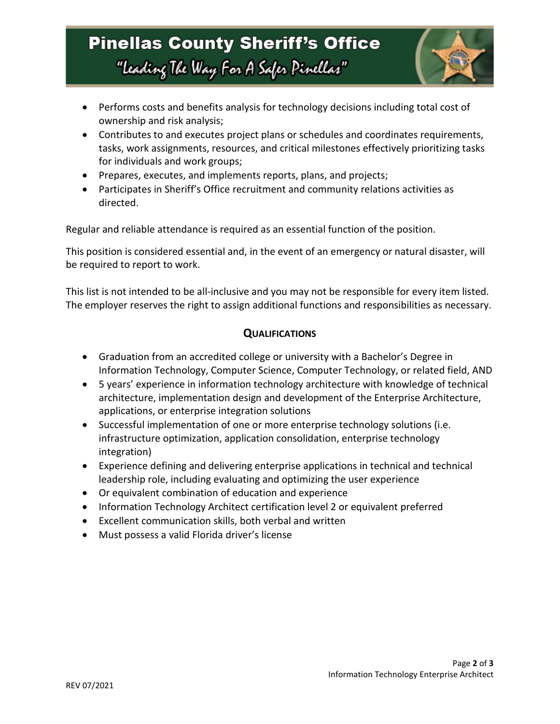# **Pinellas County Sheriff's Office** "Leading The Way For A Safer Pinellar"



- Performs costs and benefits analysis for technology decisions including total cost of ownership and risk analysis;
- Contributes to and executes project plans or schedules and coordinates requirements, tasks, work assignments, resources, and critical milestones effectively prioritizing tasks for individuals and work groups;
- Prepares, executes, and implements reports, plans, and projects;
- Participates in Sheriff's Office recruitment and community relations activities as directed.

Regular and reliable attendance is required as an essential function of the position.

This position is considered essential and, in the event of an emergency or natural disaster, will be required to report to work.

This list is not intended to be all-inclusive and you may not be responsible for every item listed. The employer reserves the right to assign additional functions and responsibilities as necessary.

### **QUALIFICATIONS**

- Graduation from an accredited college or university with a Bachelor's Degree in Information Technology, Computer Science, Computer Technology, or related field, AND
- 5 years' experience in information technology architecture with knowledge of technical architecture, implementation design and development of the Enterprise Architecture, applications, or enterprise integration solutions
- Successful implementation of one or more enterprise technology solutions (i.e. infrastructure optimization, application consolidation, enterprise technology integration)
- Experience defining and delivering enterprise applications in technical and technical leadership role, including evaluating and optimizing the user experience
- Or equivalent combination of education and experience
- Information Technology Architect certification level 2 or equivalent preferred
- Excellent communication skills, both verbal and written
- Must possess a valid Florida driver's license